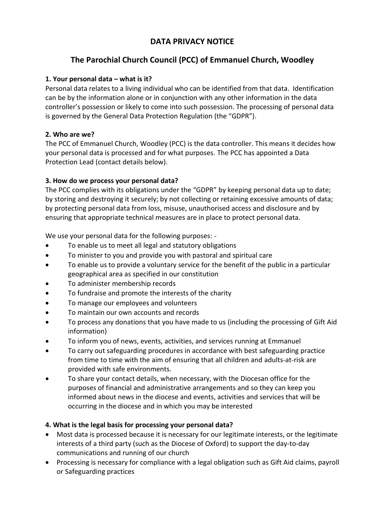## **DATA PRIVACY NOTICE**

# **The Parochial Church Council (PCC) of Emmanuel Church, Woodley**

### **1. Your personal data – what is it?**

Personal data relates to a living individual who can be identified from that data. Identification can be by the information alone or in conjunction with any other information in the data controller's possession or likely to come into such possession. The processing of personal data is governed by the General Data Protection Regulation (the "GDPR").

#### **2. Who are we?**

The PCC of Emmanuel Church, Woodley (PCC) is the data controller. This means it decides how your personal data is processed and for what purposes. The PCC has appointed a Data Protection Lead (contact details below).

## **3. How do we process your personal data?**

The PCC complies with its obligations under the "GDPR" by keeping personal data up to date; by storing and destroying it securely; by not collecting or retaining excessive amounts of data; by protecting personal data from loss, misuse, unauthorised access and disclosure and by ensuring that appropriate technical measures are in place to protect personal data.

We use your personal data for the following purposes: -

- To enable us to meet all legal and statutory obligations
- To minister to you and provide you with pastoral and spiritual care
- To enable us to provide a voluntary service for the benefit of the public in a particular geographical area as specified in our constitution
- To administer membership records
- To fundraise and promote the interests of the charity
- To manage our employees and volunteers
- To maintain our own accounts and records
- To process any donations that you have made to us (including the processing of Gift Aid information)
- To inform you of news, events, activities, and services running at Emmanuel
- To carry out safeguarding procedures in accordance with best safeguarding practice from time to time with the aim of ensuring that all children and adults-at-risk are provided with safe environments.
- To share your contact details, when necessary, with the Diocesan office for the purposes of financial and administrative arrangements and so they can keep you informed about news in the diocese and events, activities and services that will be occurring in the diocese and in which you may be interested

## **4. What is the legal basis for processing your personal data?**

- Most data is processed because it is necessary for our legitimate interests, or the legitimate interests of a third party (such as the Diocese of Oxford) to support the day-to-day communications and running of our church
- Processing is necessary for compliance with a legal obligation such as Gift Aid claims, payroll or Safeguarding practices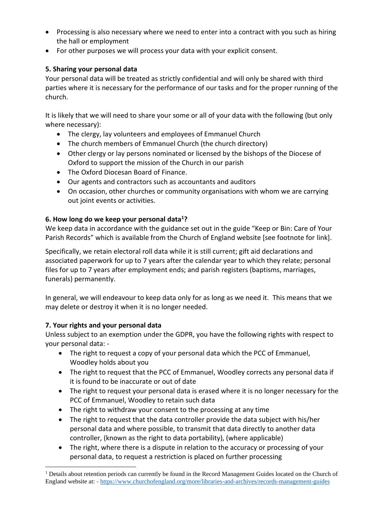- Processing is also necessary where we need to enter into a contract with you such as hiring the hall or employment
- For other purposes we will process your data with your explicit consent.

## **5. Sharing your personal data**

Your personal data will be treated as strictly confidential and will only be shared with third parties where it is necessary for the performance of our tasks and for the proper running of the church.

It is likely that we will need to share your some or all of your data with the following (but only where necessary):

- The clergy, lay volunteers and employees of Emmanuel Church
- The church members of Emmanuel Church (the church directory)
- Other clergy or lay persons nominated or licensed by the bishops of the Diocese of Oxford to support the mission of the Church in our parish
- The Oxford Diocesan Board of Finance.
- Our agents and contractors such as accountants and auditors
- On occasion, other churches or community organisations with whom we are carrying out joint events or activities.

## **6. How long do we keep your personal data<sup>1</sup>?**

We keep data in accordance with the guidance set out in the guide "Keep or Bin: Care of Your Parish Records" which is available from the Church of England website [see footnote for link].

Specifically, we retain electoral roll data while it is still current; gift aid declarations and associated paperwork for up to 7 years after the calendar year to which they relate; personal files for up to 7 years after employment ends; and parish registers (baptisms, marriages, funerals) permanently.

In general, we will endeavour to keep data only for as long as we need it. This means that we may delete or destroy it when it is no longer needed.

#### **7. Your rights and your personal data**

Unless subject to an exemption under the GDPR, you have the following rights with respect to your personal data: -

- The right to request a copy of your personal data which the PCC of Emmanuel, Woodley holds about you
- The right to request that the PCC of Emmanuel, Woodley corrects any personal data if it is found to be inaccurate or out of date
- The right to request your personal data is erased where it is no longer necessary for the PCC of Emmanuel, Woodley to retain such data
- The right to withdraw your consent to the processing at any time
- The right to request that the data controller provide the data subject with his/her personal data and where possible, to transmit that data directly to another data controller, (known as the right to data portability), (where applicable)
- The right, where there is a dispute in relation to the accuracy or processing of your personal data, to request a restriction is placed on further processing

 $<sup>1</sup>$  Details about retention periods can currently be found in the Record Management Guides located on the Church of</sup> England website at: - <https://www.churchofengland.org/more/libraries-and-archives/records-management-guides>